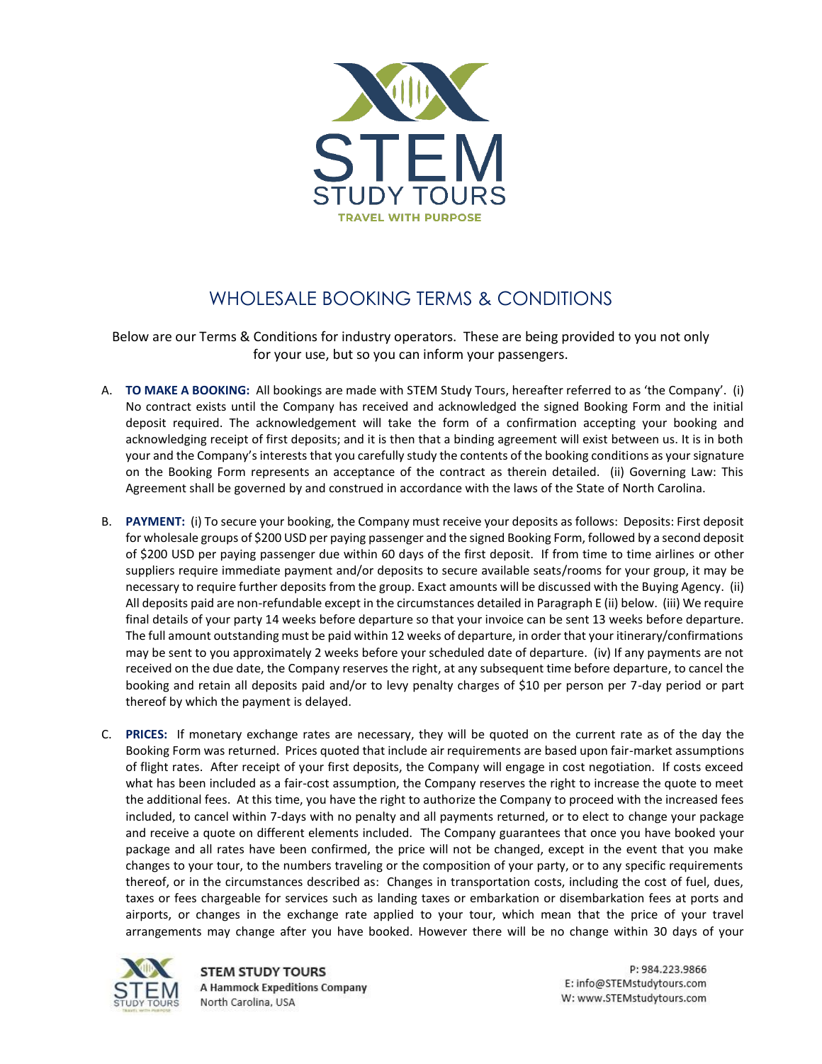

## WHOLESALE BOOKING TERMS & CONDITIONS

Below are our Terms & Conditions for industry operators. These are being provided to you not only for your use, but so you can inform your passengers.

- A. **TO MAKE A BOOKING:** All bookings are made with STEM Study Tours, hereafter referred to as 'the Company'. (i) No contract exists until the Company has received and acknowledged the signed Booking Form and the initial deposit required. The acknowledgement will take the form of a confirmation accepting your booking and acknowledging receipt of first deposits; and it is then that a binding agreement will exist between us. It is in both your and the Company's interests that you carefully study the contents of the booking conditions as your signature on the Booking Form represents an acceptance of the contract as therein detailed. (ii) Governing Law: This Agreement shall be governed by and construed in accordance with the laws of the State of North Carolina.
- B. **PAYMENT:** (i) To secure your booking, the Company must receive your deposits as follows: Deposits: First deposit for wholesale groups of \$200 USD per paying passenger and the signed Booking Form, followed by a second deposit of \$200 USD per paying passenger due within 60 days of the first deposit. If from time to time airlines or other suppliers require immediate payment and/or deposits to secure available seats/rooms for your group, it may be necessary to require further deposits from the group. Exact amounts will be discussed with the Buying Agency. (ii) All deposits paid are non-refundable except in the circumstances detailed in Paragraph E (ii) below. (iii) We require final details of your party 14 weeks before departure so that your invoice can be sent 13 weeks before departure. The full amount outstanding must be paid within 12 weeks of departure, in order that your itinerary/confirmations may be sent to you approximately 2 weeks before your scheduled date of departure. (iv) If any payments are not received on the due date, the Company reserves the right, at any subsequent time before departure, to cancel the booking and retain all deposits paid and/or to levy penalty charges of \$10 per person per 7-day period or part thereof by which the payment is delayed.
- C. **PRICES:** If monetary exchange rates are necessary, they will be quoted on the current rate as of the day the Booking Form was returned. Prices quoted that include air requirements are based upon fair-market assumptions of flight rates. After receipt of your first deposits, the Company will engage in cost negotiation. If costs exceed what has been included as a fair-cost assumption, the Company reserves the right to increase the quote to meet the additional fees. At this time, you have the right to authorize the Company to proceed with the increased fees included, to cancel within 7-days with no penalty and all payments returned, or to elect to change your package and receive a quote on different elements included. The Company guarantees that once you have booked your package and all rates have been confirmed, the price will not be changed, except in the event that you make changes to your tour, to the numbers traveling or the composition of your party, or to any specific requirements thereof, or in the circumstances described as: Changes in transportation costs, including the cost of fuel, dues, taxes or fees chargeable for services such as landing taxes or embarkation or disembarkation fees at ports and airports, or changes in the exchange rate applied to your tour, which mean that the price of your travel arrangements may change after you have booked. However there will be no change within 30 days of your



**STEM STUDY TOURS A Hammock Expeditions Company** North Carolina, USA

P: 984.223.9866 E: info@STEMstudytours.com W: www.STEMstudytours.com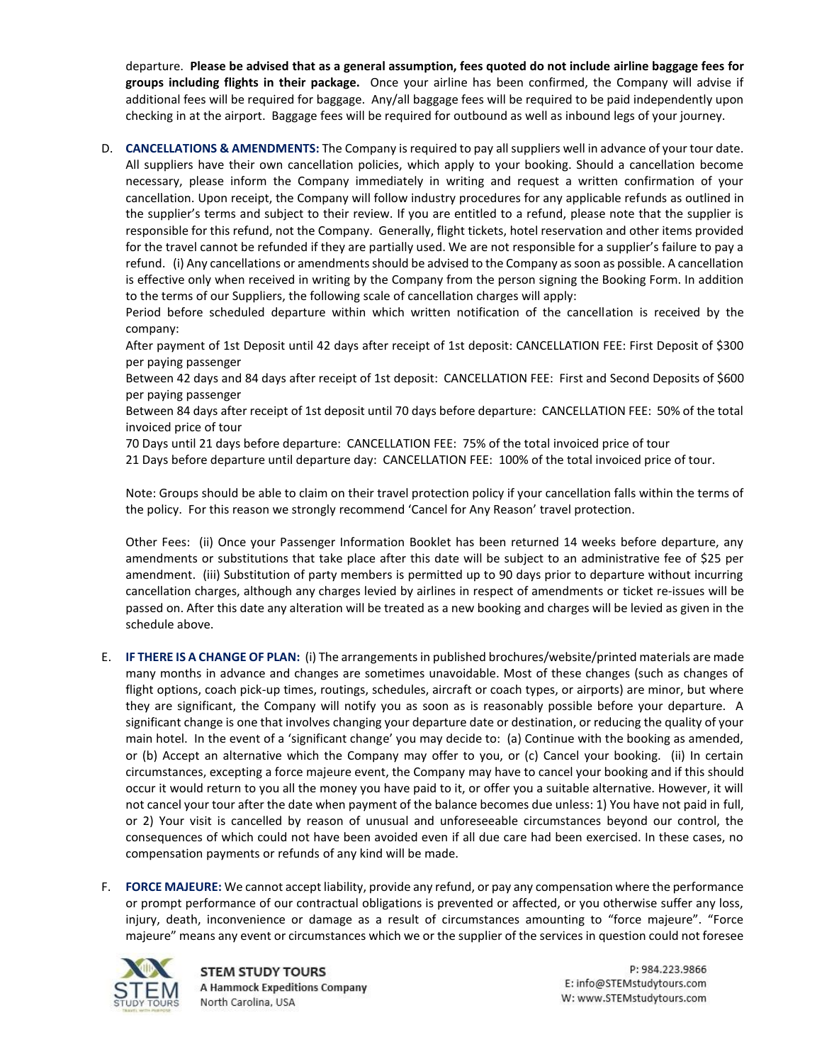departure. **Please be advised that as a general assumption, fees quoted do not include airline baggage fees for groups including flights in their package.** Once your airline has been confirmed, the Company will advise if additional fees will be required for baggage. Any/all baggage fees will be required to be paid independently upon checking in at the airport. Baggage fees will be required for outbound as well as inbound legs of your journey.

D. **CANCELLATIONS & AMENDMENTS:** The Company is required to pay all suppliers well in advance of your tour date. All suppliers have their own cancellation policies, which apply to your booking. Should a cancellation become necessary, please inform the Company immediately in writing and request a written confirmation of your cancellation. Upon receipt, the Company will follow industry procedures for any applicable refunds as outlined in the supplier's terms and subject to their review. If you are entitled to a refund, please note that the supplier is responsible for this refund, not the Company. Generally, flight tickets, hotel reservation and other items provided for the travel cannot be refunded if they are partially used. We are not responsible for a supplier's failure to pay a refund. (i) Any cancellations or amendments should be advised to the Company as soon as possible. A cancellation is effective only when received in writing by the Company from the person signing the Booking Form. In addition to the terms of our Suppliers, the following scale of cancellation charges will apply:

Period before scheduled departure within which written notification of the cancellation is received by the company:

After payment of 1st Deposit until 42 days after receipt of 1st deposit: CANCELLATION FEE: First Deposit of \$300 per paying passenger

Between 42 days and 84 days after receipt of 1st deposit: CANCELLATION FEE: First and Second Deposits of \$600 per paying passenger

Between 84 days after receipt of 1st deposit until 70 days before departure: CANCELLATION FEE: 50% of the total invoiced price of tour

70 Days until 21 days before departure: CANCELLATION FEE: 75% of the total invoiced price of tour

21 Days before departure until departure day: CANCELLATION FEE: 100% of the total invoiced price of tour.

Note: Groups should be able to claim on their travel protection policy if your cancellation falls within the terms of the policy. For this reason we strongly recommend 'Cancel for Any Reason' travel protection.

Other Fees: (ii) Once your Passenger Information Booklet has been returned 14 weeks before departure, any amendments or substitutions that take place after this date will be subject to an administrative fee of \$25 per amendment. (iii) Substitution of party members is permitted up to 90 days prior to departure without incurring cancellation charges, although any charges levied by airlines in respect of amendments or ticket re-issues will be passed on. After this date any alteration will be treated as a new booking and charges will be levied as given in the schedule above.

- E. **IF THERE IS A CHANGE OF PLAN:** (i) The arrangements in published brochures/website/printed materials are made many months in advance and changes are sometimes unavoidable. Most of these changes (such as changes of flight options, coach pick-up times, routings, schedules, aircraft or coach types, or airports) are minor, but where they are significant, the Company will notify you as soon as is reasonably possible before your departure. A significant change is one that involves changing your departure date or destination, or reducing the quality of your main hotel. In the event of a 'significant change' you may decide to: (a) Continue with the booking as amended, or (b) Accept an alternative which the Company may offer to you, or (c) Cancel your booking. (ii) In certain circumstances, excepting a force majeure event, the Company may have to cancel your booking and if this should occur it would return to you all the money you have paid to it, or offer you a suitable alternative. However, it will not cancel your tour after the date when payment of the balance becomes due unless: 1) You have not paid in full, or 2) Your visit is cancelled by reason of unusual and unforeseeable circumstances beyond our control, the consequences of which could not have been avoided even if all due care had been exercised. In these cases, no compensation payments or refunds of any kind will be made.
- F. **FORCE MAJEURE:** We cannot accept liability, provide any refund, or pay any compensation where the performance or prompt performance of our contractual obligations is prevented or affected, or you otherwise suffer any loss, injury, death, inconvenience or damage as a result of circumstances amounting to "force majeure". "Force majeure" means any event or circumstances which we or the supplier of the services in question could not foresee

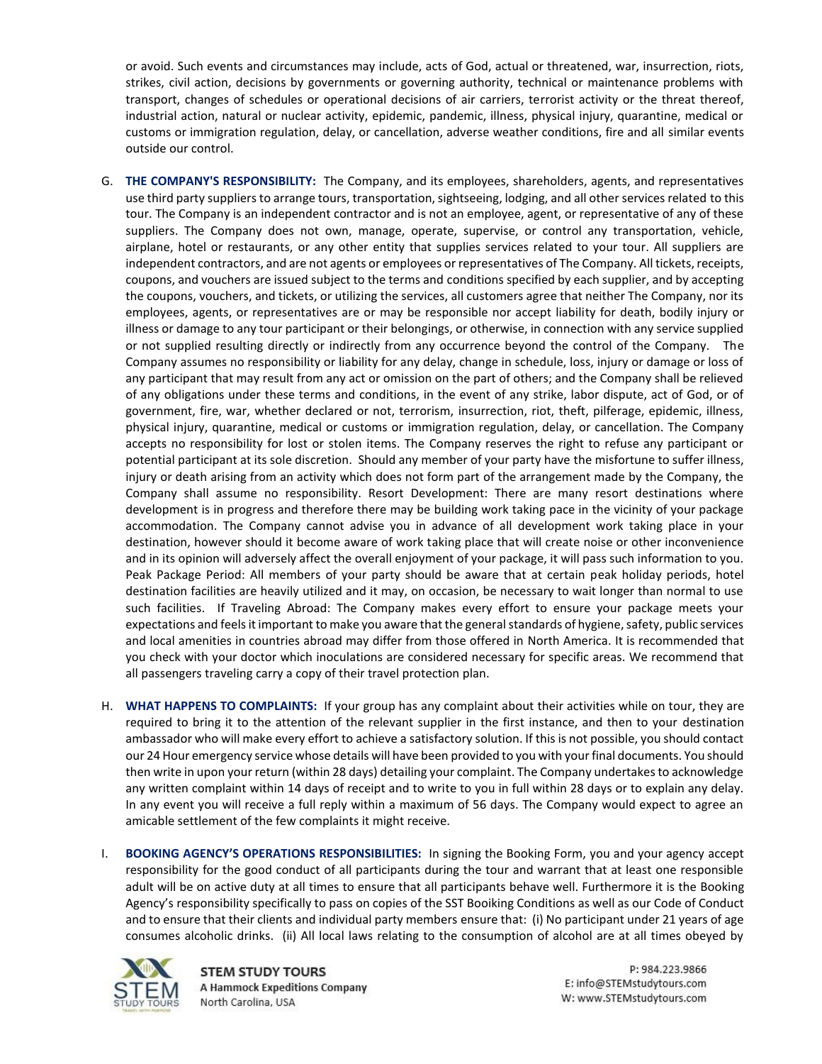or avoid. Such events and circumstances may include, acts of God, actual or threatened, war, insurrection, riots, strikes, civil action, decisions by governments or governing authority, technical or maintenance problems with transport, changes of schedules or operational decisions of air carriers, terrorist activity or the threat thereof, industrial action, natural or nuclear activity, epidemic, pandemic, illness, physical injury, quarantine, medical or customs or immigration regulation, delay, or cancellation, adverse weather conditions, fire and all similar events outside our control.

- G. **THE COMPANY'S RESPONSIBILITY:** The Company, and its employees, shareholders, agents, and representatives use third party suppliers to arrange tours, transportation, sightseeing, lodging, and all other services related to this tour. The Company is an independent contractor and is not an employee, agent, or representative of any of these suppliers. The Company does not own, manage, operate, supervise, or control any transportation, vehicle, airplane, hotel or restaurants, or any other entity that supplies services related to your tour. All suppliers are independent contractors, and are not agents or employees or representatives of The Company. All tickets, receipts, coupons, and vouchers are issued subject to the terms and conditions specified by each supplier, and by accepting the coupons, vouchers, and tickets, or utilizing the services, all customers agree that neither The Company, nor its employees, agents, or representatives are or may be responsible nor accept liability for death, bodily injury or illness or damage to any tour participant or their belongings, or otherwise, in connection with any service supplied or not supplied resulting directly or indirectly from any occurrence beyond the control of the Company. The Company assumes no responsibility or liability for any delay, change in schedule, loss, injury or damage or loss of any participant that may result from any act or omission on the part of others; and the Company shall be relieved of any obligations under these terms and conditions, in the event of any strike, labor dispute, act of God, or of government, fire, war, whether declared or not, terrorism, insurrection, riot, theft, pilferage, epidemic, illness, physical injury, quarantine, medical or customs or immigration regulation, delay, or cancellation. The Company accepts no responsibility for lost or stolen items. The Company reserves the right to refuse any participant or potential participant at its sole discretion. Should any member of your party have the misfortune to suffer illness, injury or death arising from an activity which does not form part of the arrangement made by the Company, the Company shall assume no responsibility. Resort Development: There are many resort destinations where development is in progress and therefore there may be building work taking pace in the vicinity of your package accommodation. The Company cannot advise you in advance of all development work taking place in your destination, however should it become aware of work taking place that will create noise or other inconvenience and in its opinion will adversely affect the overall enjoyment of your package, it will pass such information to you. Peak Package Period: All members of your party should be aware that at certain peak holiday periods, hotel destination facilities are heavily utilized and it may, on occasion, be necessary to wait longer than normal to use such facilities. If Traveling Abroad: The Company makes every effort to ensure your package meets your expectations and feels it important to make you aware that the general standards of hygiene, safety, public services and local amenities in countries abroad may differ from those offered in North America. It is recommended that you check with your doctor which inoculations are considered necessary for specific areas. We recommend that all passengers traveling carry a copy of their travel protection plan.
- H. **WHAT HAPPENS TO COMPLAINTS:** If your group has any complaint about their activities while on tour, they are required to bring it to the attention of the relevant supplier in the first instance, and then to your destination ambassador who will make every effort to achieve a satisfactory solution. If this is not possible, you should contact our 24 Hour emergency service whose details will have been provided to you with your final documents. You should then write in upon your return (within 28 days) detailing your complaint. The Company undertakes to acknowledge any written complaint within 14 days of receipt and to write to you in full within 28 days or to explain any delay. In any event you will receive a full reply within a maximum of 56 days. The Company would expect to agree an amicable settlement of the few complaints it might receive.
- I. **BOOKING AGENCY'S OPERATIONS RESPONSIBILITIES:** In signing the Booking Form, you and your agency accept responsibility for the good conduct of all participants during the tour and warrant that at least one responsible adult will be on active duty at all times to ensure that all participants behave well. Furthermore it is the Booking Agency's responsibility specifically to pass on copies of the SST Booiking Conditions as well as our Code of Conduct and to ensure that their clients and individual party members ensure that: (i) No participant under 21 years of age consumes alcoholic drinks. (ii) All local laws relating to the consumption of alcohol are at all times obeyed by



**STEM STUDY TOURS** A Hammock Expeditions Company North Carolina, USA

P: 984.223.9866 E: info@STEMstudytours.com W: www.STEMstudytours.com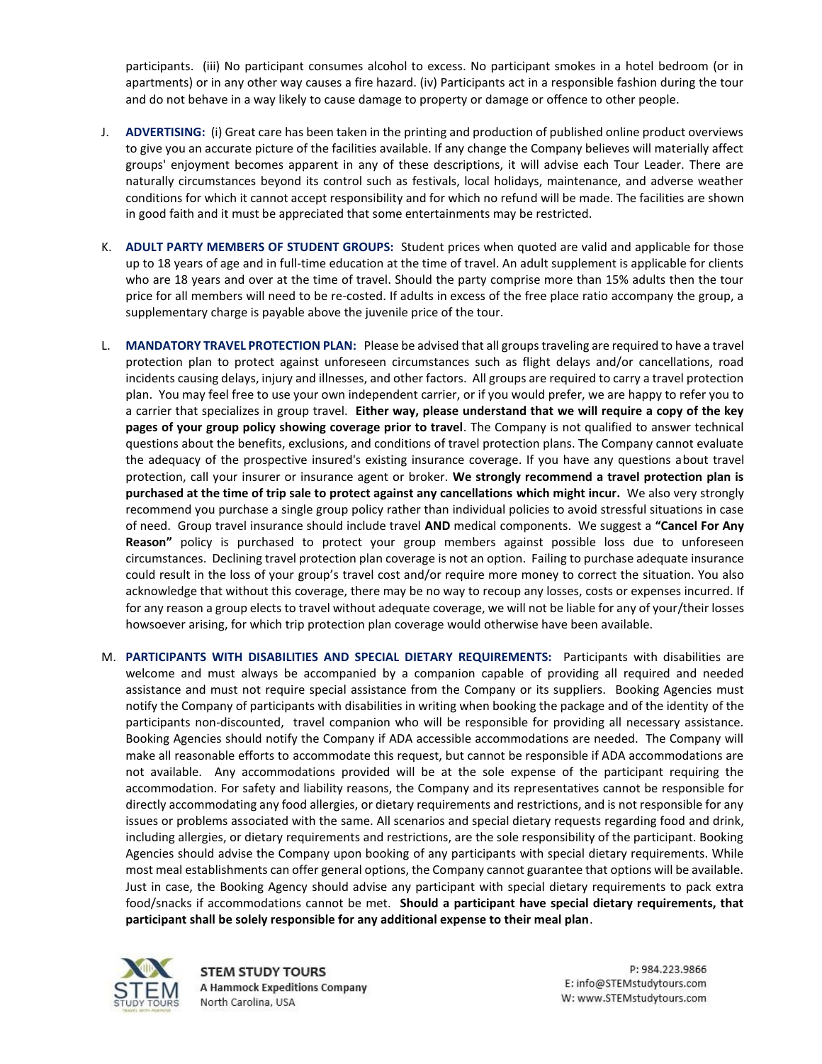participants. (iii) No participant consumes alcohol to excess. No participant smokes in a hotel bedroom (or in apartments) or in any other way causes a fire hazard. (iv) Participants act in a responsible fashion during the tour and do not behave in a way likely to cause damage to property or damage or offence to other people.

- J. **ADVERTISING:** (i) Great care has been taken in the printing and production of published online product overviews to give you an accurate picture of the facilities available. If any change the Company believes will materially affect groups' enjoyment becomes apparent in any of these descriptions, it will advise each Tour Leader. There are naturally circumstances beyond its control such as festivals, local holidays, maintenance, and adverse weather conditions for which it cannot accept responsibility and for which no refund will be made. The facilities are shown in good faith and it must be appreciated that some entertainments may be restricted.
- K. **ADULT PARTY MEMBERS OF STUDENT GROUPS:** Student prices when quoted are valid and applicable for those up to 18 years of age and in full-time education at the time of travel. An adult supplement is applicable for clients who are 18 years and over at the time of travel. Should the party comprise more than 15% adults then the tour price for all members will need to be re-costed. If adults in excess of the free place ratio accompany the group, a supplementary charge is payable above the juvenile price of the tour.
- L. **MANDATORY TRAVEL PROTECTION PLAN:** Please be advised that all groups traveling are required to have a travel protection plan to protect against unforeseen circumstances such as flight delays and/or cancellations, road incidents causing delays, injury and illnesses, and other factors. All groups are required to carry a travel protection plan. You may feel free to use your own independent carrier, or if you would prefer, we are happy to refer you to a carrier that specializes in group travel. **Either way, please understand that we will require a copy of the key pages of your group policy showing coverage prior to travel**. The Company is not qualified to answer technical questions about the benefits, exclusions, and conditions of travel protection plans. The Company cannot evaluate the adequacy of the prospective insured's existing insurance coverage. If you have any questions about travel protection, call your insurer or insurance agent or broker. **We strongly recommend a travel protection plan is purchased at the time of trip sale to protect against any cancellations which might incur.** We also very strongly recommend you purchase a single group policy rather than individual policies to avoid stressful situations in case of need. Group travel insurance should include travel **AND** medical components. We suggest a **"Cancel For Any Reason"** policy is purchased to protect your group members against possible loss due to unforeseen circumstances. Declining travel protection plan coverage is not an option. Failing to purchase adequate insurance could result in the loss of your group's travel cost and/or require more money to correct the situation. You also acknowledge that without this coverage, there may be no way to recoup any losses, costs or expenses incurred. If for any reason a group elects to travel without adequate coverage, we will not be liable for any of your/their losses howsoever arising, for which trip protection plan coverage would otherwise have been available.
- M. **PARTICIPANTS WITH DISABILITIES AND SPECIAL DIETARY REQUIREMENTS:** Participants with disabilities are welcome and must always be accompanied by a companion capable of providing all required and needed assistance and must not require special assistance from the Company or its suppliers. Booking Agencies must notify the Company of participants with disabilities in writing when booking the package and of the identity of the participants non-discounted, travel companion who will be responsible for providing all necessary assistance. Booking Agencies should notify the Company if ADA accessible accommodations are needed. The Company will make all reasonable efforts to accommodate this request, but cannot be responsible if ADA accommodations are not available. Any accommodations provided will be at the sole expense of the participant requiring the accommodation. For safety and liability reasons, the Company and its representatives cannot be responsible for directly accommodating any food allergies, or dietary requirements and restrictions, and is not responsible for any issues or problems associated with the same. All scenarios and special dietary requests regarding food and drink, including allergies, or dietary requirements and restrictions, are the sole responsibility of the participant. Booking Agencies should advise the Company upon booking of any participants with special dietary requirements. While most meal establishments can offer general options, the Company cannot guarantee that options will be available. Just in case, the Booking Agency should advise any participant with special dietary requirements to pack extra food/snacks if accommodations cannot be met. **Should a participant have special dietary requirements, that participant shall be solely responsible for any additional expense to their meal plan**.



**STEM STUDY TOURS A Hammock Expeditions Company** North Carolina, USA

P: 984.223.9866 E: info@STEMstudytours.com W: www.STEMstudytours.com